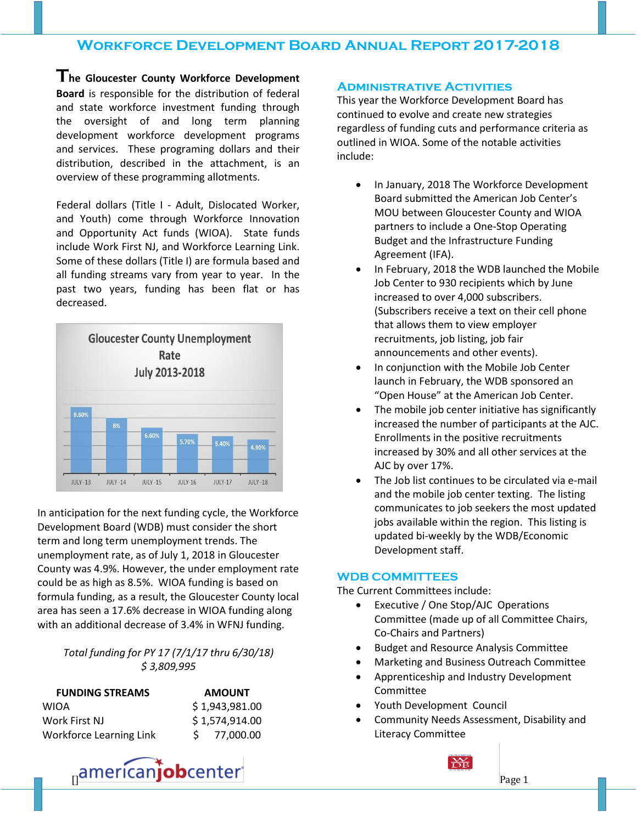**The Gloucester County Workforce Development Board** is responsible for the distribution of federal and state workforce investment funding through the oversight of and long term planning development workforce development programs and services. These programing dollars and their distribution, described in the attachment, is an overview of these programming allotments.

Federal dollars (Title I - Adult, Dislocated Worker, and Youth) come through Workforce Innovation and Opportunity Act funds (WIOA). State funds include Work First NJ, and Workforce Learning Link. Some of these dollars (Title I) are formula based and all funding streams vary from year to year. In the past two years, funding has been flat or has decreased.



In anticipation for the next funding cycle, the Workforce Development Board (WDB) must consider the short term and long term unemployment trends. The unemployment rate, as of July 1, 2018 in Gloucester County was 4.9%. However, the under employment rate could be as high as 8.5%. WIOA funding is based on formula funding, as a result, the Gloucester County local area has seen a 17.6% decrease in WIOA funding along with an additional decrease of 3.4% in WFNJ funding.

### *Total funding for PY 17 (7/1/17 thru 6/30/18) \$ 3,809,995*

| <b>FUNDING STREAMS</b>         | <b>AMOUNT</b>  |
|--------------------------------|----------------|
| <b>WIOA</b>                    | \$1,943,981.00 |
| Work First NJ                  | \$1,574,914.00 |
| <b>Workforce Learning Link</b> | 77,000.00      |

### **Administrative Activities**

This year the Workforce Development Board has continued to evolve and create new strategies regardless of funding cuts and performance criteria as outlined in WIOA. Some of the notable activities include:

- In January, 2018 The Workforce Development Board submitted the American Job Center's MOU between Gloucester County and WIOA partners to include a One-Stop Operating Budget and the Infrastructure Funding Agreement (IFA).
- In February, 2018 the WDB launched the Mobile Job Center to 930 recipients which by June increased to over 4,000 subscribers. (Subscribers receive a text on their cell phone that allows them to view employer recruitments, job listing, job fair announcements and other events).
- In conjunction with the Mobile Job Center launch in February, the WDB sponsored an "Open House" at the American Job Center.
- The mobile job center initiative has significantly increased the number of participants at the AJC. Enrollments in the positive recruitments increased by 30% and all other services at the AJC by over 17%.
- The Job list continues to be circulated via e-mail and the mobile job center texting. The listing communicates to job seekers the most updated jobs available within the region. This listing is updated bi-weekly by the WDB/Economic Development staff.

#### **WDB COMMITTEES**

The Current Committees include:

- Executive / One Stop/AJC Operations Committee (made up of all Committee Chairs, Co-Chairs and Partners)
- Budget and Resource Analysis Committee
- Marketing and Business Outreach Committee
- Apprenticeship and Industry Development Committee
- Youth Development Council
- Community Needs Assessment, Disability and Literacy Committee

americanjobcenter and the same of the page 1

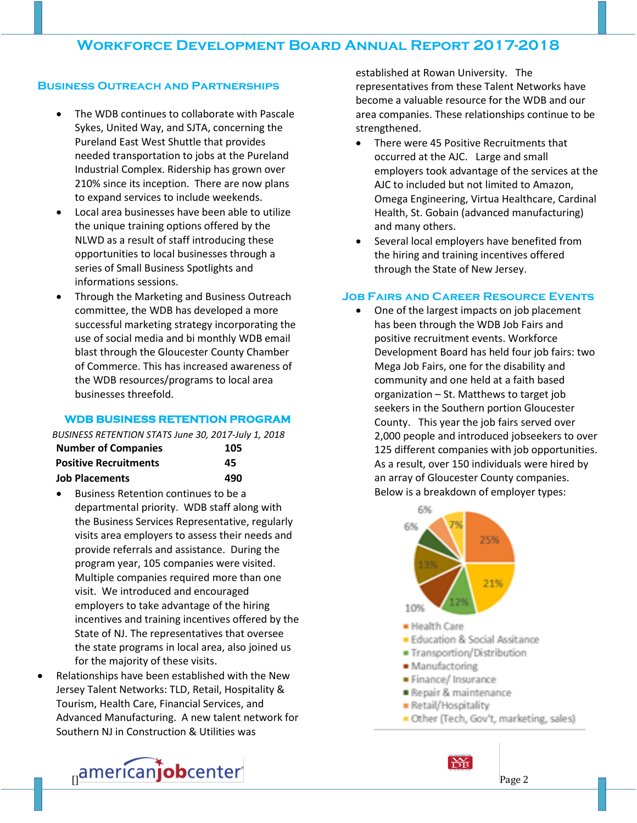### **Business Outreach and Partnerships**

- The WDB continues to collaborate with Pascale Sykes, United Way, and SJTA, concerning the Pureland East West Shuttle that provides needed transportation to jobs at the Pureland Industrial Complex. Ridership has grown over 210% since its inception. There are now plans to expand services to include weekends.
- Local area businesses have been able to utilize the unique training options offered by the NLWD as a result of staff introducing these opportunities to local businesses through a series of Small Business Spotlights and informations sessions.
- Through the Marketing and Business Outreach committee, the WDB has developed a more successful marketing strategy incorporating the use of social media and bi monthly WDB email blast through the Gloucester County Chamber of Commerce. This has increased awareness of the WDB resources/programs to local area businesses threefold.

### **WDB BUSINESS RETENTION PROGRAM**

| BUSINESS RETENTION STATS June 30, 2017-July 1, 2018 |     |
|-----------------------------------------------------|-----|
| <b>Number of Companies</b>                          | 105 |
| <b>Positive Recruitments</b>                        | 45  |
| <b>Job Placements</b>                               | 490 |

- Business Retention continues to be a departmental priority. WDB staff along with the Business Services Representative, regularly visits area employers to assess their needs and provide referrals and assistance. During the program year, 105 companies were visited. Multiple companies required more than one visit. We introduced and encouraged employers to take advantage of the hiring incentives and training incentives offered by the State of NJ. The representatives that oversee the state programs in local area, also joined us for the majority of these visits.
- Relationships have been established with the New Jersey Talent Networks: TLD, Retail, Hospitality & Tourism, Health Care, Financial Services, and Advanced Manufacturing. A new talent network for Southern NJ in Construction & Utilities was

established at Rowan University. The representatives from these Talent Networks have become a valuable resource for the WDB and our area companies. These relationships continue to be strengthened.

- There were 45 Positive Recruitments that occurred at the AJC. Large and small employers took advantage of the services at the AJC to included but not limited to Amazon, Omega Engineering, Virtua Healthcare, Cardinal Health, St. Gobain (advanced manufacturing) and many others.
- Several local employers have benefited from the hiring and training incentives offered through the State of New Jersey.

### **Job Fairs and Career Resource Events**

• One of the largest impacts on job placement has been through the WDB Job Fairs and positive recruitment events. Workforce Development Board has held four job fairs: two Mega Job Fairs, one for the disability and community and one held at a faith based organization – St. Matthews to target job seekers in the Southern portion Gloucester County. This year the job fairs served over 2,000 people and introduced jobseekers to over 125 different companies with job opportunities. As a result, over 150 individuals were hired by an array of Gloucester County companies. Below is a breakdown of employer types:



americanjobcenter and the state of  $\overline{\text{base 2}}$ 

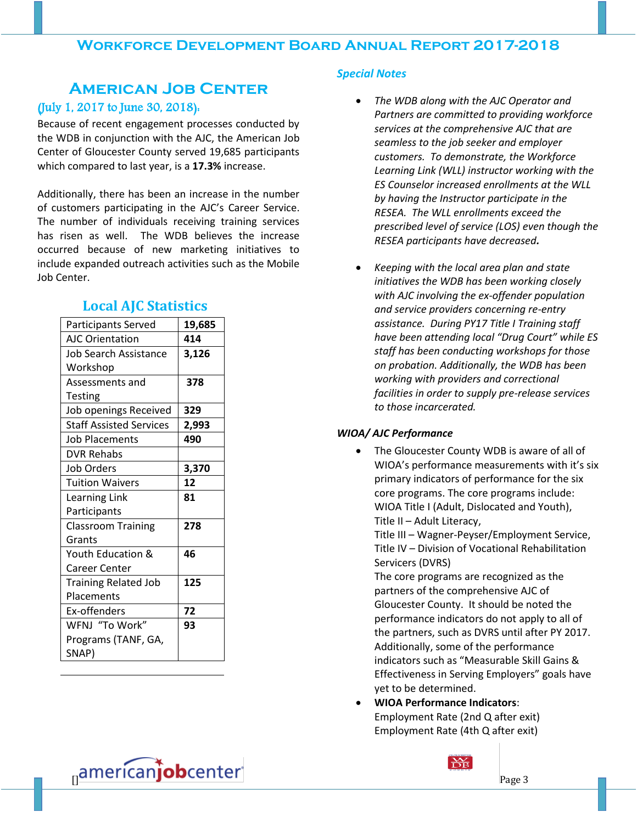# **American Job Center** (July 1, 2017 to June 30, 2018):

Because of recent engagement processes conducted by the WDB in conjunction with the AJC, the American Job Center of Gloucester County served 19,685 participants which compared to last year, is a **17.3%** increase.

Additionally, there has been an increase in the number of customers participating in the AJC's Career Service. The number of individuals receiving training services has risen as well. The WDB believes the increase occurred because of new marketing initiatives to include expanded outreach activities such as the Mobile Job Center.

| Participants Served            | 19,685 |
|--------------------------------|--------|
| <b>AJC Orientation</b>         | 414    |
| Job Search Assistance          | 3,126  |
| Workshop                       |        |
| Assessments and                | 378    |
| <b>Testing</b>                 |        |
| Job openings Received          | 329    |
| <b>Staff Assisted Services</b> | 2,993  |
| <b>Job Placements</b>          | 490    |
| <b>DVR Rehabs</b>              |        |
| <b>Job Orders</b>              | 3,370  |
| <b>Tuition Waivers</b>         | 12     |
| <b>Learning Link</b>           | 81     |
| Participants                   |        |
| <b>Classroom Training</b>      | 278    |
| Grants                         |        |
| Youth Education &              | 46     |
| Career Center                  |        |
| <b>Training Related Job</b>    | 125    |
| Placements                     |        |
| Ex-offenders                   | 72     |
| WFNJ "To Work"                 | 93     |
| Programs (TANF, GA,            |        |
| SNAP)                          |        |

## **Local AJC Statistics**

#### *Special Notes*

- *The WDB along with the AJC Operator and Partners are committed to providing workforce services at the comprehensive AJC that are seamless to the job seeker and employer customers. To demonstrate, the Workforce Learning Link (WLL) instructor working with the ES Counselor increased enrollments at the WLL by having the Instructor participate in the RESEA. The WLL enrollments exceed the prescribed level of service (LOS) even though the RESEA participants have decreased.*
- *Keeping with the local area plan and state initiatives the WDB has been working closely with AJC involving the ex-offender population and service providers concerning re-entry assistance. During PY17 Title I Training staff have been attending local "Drug Court" while ES staff has been conducting workshops for those on probation. Additionally, the WDB has been working with providers and correctional facilities in order to supply pre-release services to those incarcerated.*

#### *WIOA/ AJC Performance*

 The Gloucester County WDB is aware of all of WIOA's performance measurements with it's six primary indicators of performance for the six core programs. The core programs include: WIOA Title I (Adult, Dislocated and Youth), Title II – Adult Literacy,

Title III – Wagner-Peyser/Employment Service, Title IV – Division of Vocational Rehabilitation Servicers (DVRS)

The core programs are recognized as the partners of the comprehensive AJC of Gloucester County. It should be noted the performance indicators do not apply to all of the partners, such as DVRS until after PY 2017. Additionally, some of the performance indicators such as "Measurable Skill Gains & Effectiveness in Serving Employers" goals have yet to be determined.

 **WIOA Performance Indicators**: Employment Rate (2nd Q after exit) Employment Rate (4th Q after exit)